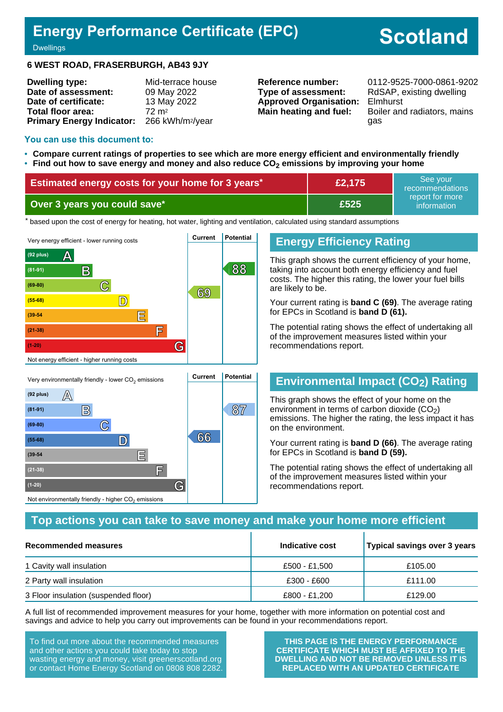## **Energy Performance Certificate (EPC)**

# **Scotland**

**Dwellings** 

#### **6 WEST ROAD, FRASERBURGH, AB43 9JY**

| <b>Dwelling type:</b>            | Mid-terrace house            |
|----------------------------------|------------------------------|
| Date of assessment:              | 09 May 2022                  |
| Date of certificate:             | 13 May 2022                  |
| Total floor area:                | $72 \text{ m}^2$             |
| <b>Primary Energy Indicator:</b> | 266 kWh/m <sup>2</sup> /year |

**Type of assessment:** RdSAP, existing dwelling **Approved Organisation:** Elmhurst

**Reference number:** 0112-9525-7000-0861-9202 **Main heating and fuel:** Boiler and radiators, mains gas

#### **You can use this document to:**

- **Compare current ratings of properties to see which are more energy efficient and environmentally friendly**
- **Find out how to save energy and money and also reduce CO2 emissions by improving your home**

| Estimated energy costs for your home for 3 years* | £2,175 | See vour<br>recommendations                 |
|---------------------------------------------------|--------|---------------------------------------------|
| Over 3 years you could save*                      | E525   | report for more<br>information <sup>1</sup> |

the based upon the cost of energy for heating, hot water, lighting and ventilation, calculated using standard assumptions



**(55-68) D 66**

**(39-54 E**

**(21-38) F**

Not environmentally friendly - higher  $\mathrm{CO}_2$  emissions

**(1-20) G**

## **Energy Efficiency Rating**

This graph shows the current efficiency of your home, taking into account both energy efficiency and fuel costs. The higher this rating, the lower your fuel bills are likely to be.

Your current rating is **band C (69)**. The average rating for EPCs in Scotland is **band D (61).**

The potential rating shows the effect of undertaking all of the improvement measures listed within your recommendations report.

## **Environmental Impact (CO2) Rating**

This graph shows the effect of your home on the environment in terms of carbon dioxide  $(CO<sub>2</sub>)$ emissions. The higher the rating, the less impact it has on the environment.

Your current rating is **band D (66)**. The average rating for EPCs in Scotland is **band D (59).**

The potential rating shows the effect of undertaking all of the improvement measures listed within your recommendations report.

## **Top actions you can take to save money and make your home more efficient**

| Recommended measures                 | Indicative cost | Typical savings over 3 years |
|--------------------------------------|-----------------|------------------------------|
| 1 Cavity wall insulation             | £500 - £1,500   | £105.00                      |
| 2 Party wall insulation              | £300 - £600     | £111.00                      |
| 3 Floor insulation (suspended floor) | £800 - £1,200   | £129.00                      |

A full list of recommended improvement measures for your home, together with more information on potential cost and savings and advice to help you carry out improvements can be found in your recommendations report.

To find out more about the recommended measures and other actions you could take today to stop wasting energy and money, visit greenerscotland.org or contact Home Energy Scotland on 0808 808 2282.

**THIS PAGE IS THE ENERGY PERFORMANCE CERTIFICATE WHICH MUST BE AFFIXED TO THE DWELLING AND NOT BE REMOVED UNLESS IT IS REPLACED WITH AN UPDATED CERTIFICATE**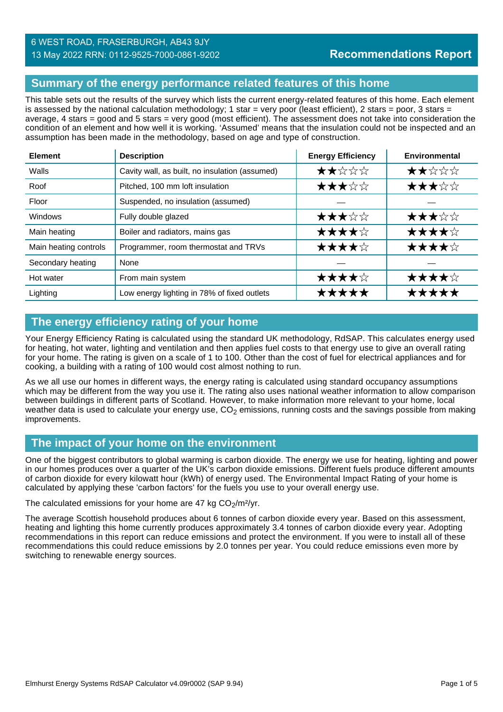## **Summary of the energy performance related features of this home**

This table sets out the results of the survey which lists the current energy-related features of this home. Each element is assessed by the national calculation methodology; 1 star = very poor (least efficient), 2 stars = poor, 3 stars = average, 4 stars = good and 5 stars = very good (most efficient). The assessment does not take into consideration the condition of an element and how well it is working. 'Assumed' means that the insulation could not be inspected and an assumption has been made in the methodology, based on age and type of construction.

| <b>Element</b>        | <b>Description</b>                             | <b>Energy Efficiency</b> | Environmental |
|-----------------------|------------------------------------------------|--------------------------|---------------|
| Walls                 | Cavity wall, as built, no insulation (assumed) | ★★☆☆☆                    | ★★☆☆☆         |
| Roof                  | Pitched, 100 mm loft insulation                | ★★★☆☆                    | ★★★☆☆         |
| Floor                 | Suspended, no insulation (assumed)             |                          |               |
| <b>Windows</b>        | Fully double glazed                            | ★★★☆☆                    | ★★★☆☆         |
| Main heating          | Boiler and radiators, mains gas                | ★★★★☆                    | ★★★★☆         |
| Main heating controls | Programmer, room thermostat and TRVs           | ★★★★☆                    | ★★★★☆         |
| Secondary heating     | None                                           |                          |               |
| Hot water             | From main system                               | ★★★★☆                    | ★★★★☆         |
| Lighting              | Low energy lighting in 78% of fixed outlets    | *****                    | *****         |

## **The energy efficiency rating of your home**

Your Energy Efficiency Rating is calculated using the standard UK methodology, RdSAP. This calculates energy used for heating, hot water, lighting and ventilation and then applies fuel costs to that energy use to give an overall rating for your home. The rating is given on a scale of 1 to 100. Other than the cost of fuel for electrical appliances and for cooking, a building with a rating of 100 would cost almost nothing to run.

As we all use our homes in different ways, the energy rating is calculated using standard occupancy assumptions which may be different from the way you use it. The rating also uses national weather information to allow comparison between buildings in different parts of Scotland. However, to make information more relevant to your home, local weather data is used to calculate your energy use,  $CO<sub>2</sub>$  emissions, running costs and the savings possible from making improvements.

## **The impact of your home on the environment**

One of the biggest contributors to global warming is carbon dioxide. The energy we use for heating, lighting and power in our homes produces over a quarter of the UK's carbon dioxide emissions. Different fuels produce different amounts of carbon dioxide for every kilowatt hour (kWh) of energy used. The Environmental Impact Rating of your home is calculated by applying these 'carbon factors' for the fuels you use to your overall energy use.

The calculated emissions for your home are 47 kg  $CO<sub>2</sub>/m<sup>2</sup>/yr$ .

The average Scottish household produces about 6 tonnes of carbon dioxide every year. Based on this assessment, heating and lighting this home currently produces approximately 3.4 tonnes of carbon dioxide every year. Adopting recommendations in this report can reduce emissions and protect the environment. If you were to install all of these recommendations this could reduce emissions by 2.0 tonnes per year. You could reduce emissions even more by switching to renewable energy sources.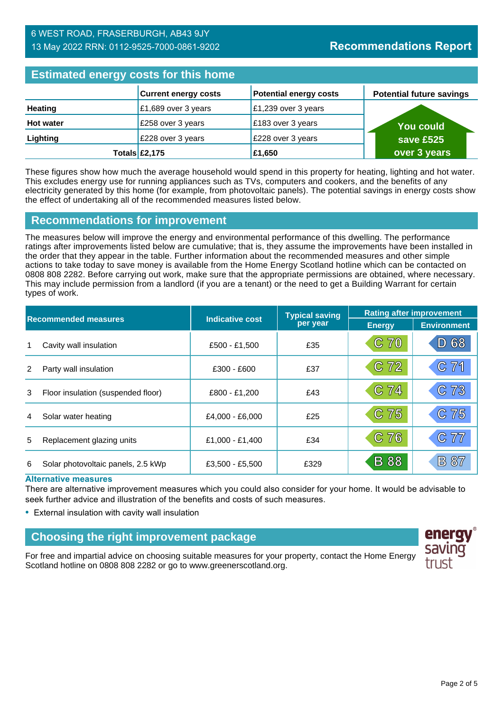## **Estimated energy costs for this home**

| <b>Extributed virtigly exercise the fighter</b> |                             |                               |                                 |  |
|-------------------------------------------------|-----------------------------|-------------------------------|---------------------------------|--|
|                                                 | <b>Current energy costs</b> | <b>Potential energy costs</b> | <b>Potential future savings</b> |  |
| <b>Heating</b>                                  | £1,689 over 3 years         | £1,239 over 3 years           |                                 |  |
| <b>Hot water</b>                                | £258 over 3 years           | £183 over 3 years             | <b>You could</b>                |  |
| Lighting                                        | £228 over 3 years           | £228 over 3 years             | save £525                       |  |
|                                                 | Totals $\mathsf{E}2,175$    | £1,650                        | over 3 years                    |  |

These figures show how much the average household would spend in this property for heating, lighting and hot water. This excludes energy use for running appliances such as TVs, computers and cookers, and the benefits of any electricity generated by this home (for example, from photovoltaic panels). The potential savings in energy costs show the effect of undertaking all of the recommended measures listed below.

## **Recommendations for improvement**

The measures below will improve the energy and environmental performance of this dwelling. The performance ratings after improvements listed below are cumulative; that is, they assume the improvements have been installed in the order that they appear in the table. Further information about the recommended measures and other simple actions to take today to save money is available from the Home Energy Scotland hotline which can be contacted on 0808 808 2282. Before carrying out work, make sure that the appropriate permissions are obtained, where necessary. This may include permission from a landlord (if you are a tenant) or the need to get a Building Warrant for certain types of work.

| <b>Recommended measures</b> |                                    |                        | <b>Typical saving</b> | <b>Rating after improvement</b> |                    |
|-----------------------------|------------------------------------|------------------------|-----------------------|---------------------------------|--------------------|
|                             |                                    | <b>Indicative cost</b> | per year              | <b>Energy</b>                   | <b>Environment</b> |
| 1                           | Cavity wall insulation             | £500 - £1,500          | £35                   | C <sub>70</sub>                 | 68<br>ID)          |
| 2                           | Party wall insulation              | $£300 - £600$          | £37                   | C 72                            | C71                |
| 3                           | Floor insulation (suspended floor) | £800 - £1,200          | £43                   | C 74                            | 73<br>$\mathbb{C}$ |
| 4                           | Solar water heating                | £4,000 - £6,000        | £25                   | C 75                            | C75                |
| 5                           | Replacement glazing units          | £1,000 - £1,400        | £34                   | C 76                            | C77                |
| 6                           | Solar photovoltaic panels, 2.5 kWp | £3,500 - £5,500        | £329                  | <b>B</b> 88                     | B 87               |

#### **Alternative measures**

There are alternative improvement measures which you could also consider for your home. It would be advisable to seek further advice and illustration of the benefits and costs of such measures.

• External insulation with cavity wall insulation

## **Choosing the right improvement package**

For free and impartial advice on choosing suitable measures for your property, contact the Home Energy Scotland hotline on 0808 808 2282 or go to www.greenerscotland.org.

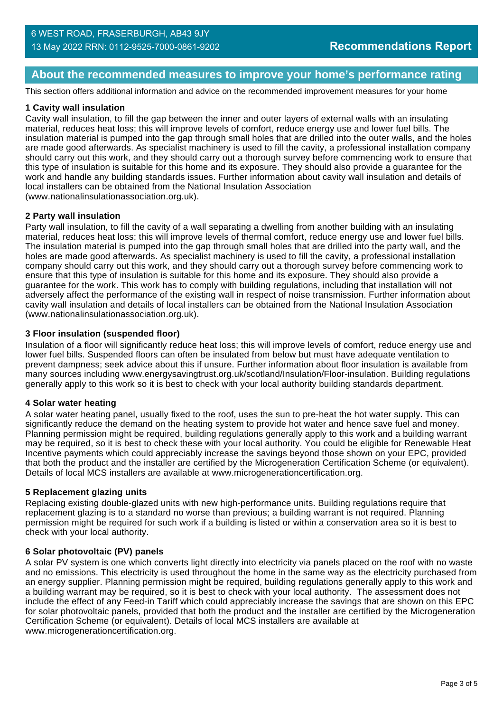## **About the recommended measures to improve your home's performance rating**

This section offers additional information and advice on the recommended improvement measures for your home

#### **1 Cavity wall insulation**

Cavity wall insulation, to fill the gap between the inner and outer layers of external walls with an insulating material, reduces heat loss; this will improve levels of comfort, reduce energy use and lower fuel bills. The insulation material is pumped into the gap through small holes that are drilled into the outer walls, and the holes are made good afterwards. As specialist machinery is used to fill the cavity, a professional installation company should carry out this work, and they should carry out a thorough survey before commencing work to ensure that this type of insulation is suitable for this home and its exposure. They should also provide a guarantee for the work and handle any building standards issues. Further information about cavity wall insulation and details of local installers can be obtained from the National Insulation Association (www.nationalinsulationassociation.org.uk).

#### **2 Party wall insulation**

Party wall insulation, to fill the cavity of a wall separating a dwelling from another building with an insulating material, reduces heat loss; this will improve levels of thermal comfort, reduce energy use and lower fuel bills. The insulation material is pumped into the gap through small holes that are drilled into the party wall, and the holes are made good afterwards. As specialist machinery is used to fill the cavity, a professional installation company should carry out this work, and they should carry out a thorough survey before commencing work to ensure that this type of insulation is suitable for this home and its exposure. They should also provide a guarantee for the work. This work has to comply with building regulations, including that installation will not adversely affect the performance of the existing wall in respect of noise transmission. Further information about cavity wall insulation and details of local installers can be obtained from the National Insulation Association (www.nationalinsulationassociation.org.uk).

#### **3 Floor insulation (suspended floor)**

Insulation of a floor will significantly reduce heat loss; this will improve levels of comfort, reduce energy use and lower fuel bills. Suspended floors can often be insulated from below but must have adequate ventilation to prevent dampness; seek advice about this if unsure. Further information about floor insulation is available from many sources including www.energysavingtrust.org.uk/scotland/Insulation/Floor-insulation. Building regulations generally apply to this work so it is best to check with your local authority building standards department.

#### **4 Solar water heating**

A solar water heating panel, usually fixed to the roof, uses the sun to pre-heat the hot water supply. This can significantly reduce the demand on the heating system to provide hot water and hence save fuel and money. Planning permission might be required, building regulations generally apply to this work and a building warrant may be required, so it is best to check these with your local authority. You could be eligible for Renewable Heat Incentive payments which could appreciably increase the savings beyond those shown on your EPC, provided that both the product and the installer are certified by the Microgeneration Certification Scheme (or equivalent). Details of local MCS installers are available at www.microgenerationcertification.org.

#### **5 Replacement glazing units**

Replacing existing double-glazed units with new high-performance units. Building regulations require that replacement glazing is to a standard no worse than previous; a building warrant is not required. Planning permission might be required for such work if a building is listed or within a conservation area so it is best to check with your local authority.

#### **6 Solar photovoltaic (PV) panels**

A solar PV system is one which converts light directly into electricity via panels placed on the roof with no waste and no emissions. This electricity is used throughout the home in the same way as the electricity purchased from an energy supplier. Planning permission might be required, building regulations generally apply to this work and a building warrant may be required, so it is best to check with your local authority. The assessment does not include the effect of any Feed-in Tariff which could appreciably increase the savings that are shown on this EPC for solar photovoltaic panels, provided that both the product and the installer are certified by the Microgeneration Certification Scheme (or equivalent). Details of local MCS installers are available at www.microgenerationcertification.org.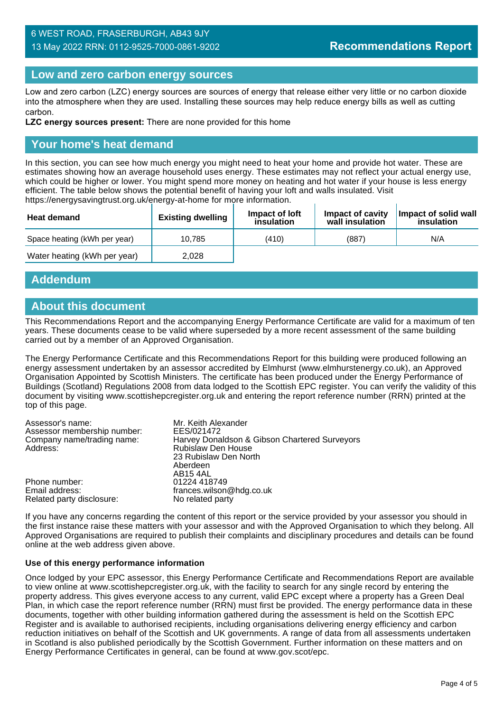## 6 WEST ROAD, FRASERBURGH, AB43 9JY 13 May 2022 RRN: 0112-9525-7000-0861-9202

## **Low and zero carbon energy sources**

Low and zero carbon (LZC) energy sources are sources of energy that release either very little or no carbon dioxide into the atmosphere when they are used. Installing these sources may help reduce energy bills as well as cutting carbon.

**LZC energy sources present:** There are none provided for this home

## **Your home's heat demand**

In this section, you can see how much energy you might need to heat your home and provide hot water. These are estimates showing how an average household uses energy. These estimates may not reflect your actual energy use, which could be higher or lower. You might spend more money on heating and hot water if your house is less energy efficient. The table below shows the potential benefit of having your loft and walls insulated. Visit https://energysavingtrust.org.uk/energy-at-home for more information.

| <b>Heat demand</b>           | <b>Existing dwelling</b> | Impact of loft<br>insulation | Impact of cavity<br>wall insulation | Impact of solid wall<br>insulation |
|------------------------------|--------------------------|------------------------------|-------------------------------------|------------------------------------|
| Space heating (kWh per year) | 10.785                   | (410)                        | (887)                               | N/A                                |
| Water heating (kWh per year) | 2.028                    |                              |                                     |                                    |

## **Addendum**

## **About this document**

This Recommendations Report and the accompanying Energy Performance Certificate are valid for a maximum of ten years. These documents cease to be valid where superseded by a more recent assessment of the same building carried out by a member of an Approved Organisation.

The Energy Performance Certificate and this Recommendations Report for this building were produced following an energy assessment undertaken by an assessor accredited by Elmhurst (www.elmhurstenergy.co.uk), an Approved Organisation Appointed by Scottish Ministers. The certificate has been produced under the Energy Performance of Buildings (Scotland) Regulations 2008 from data lodged to the Scottish EPC register. You can verify the validity of this document by visiting www.scottishepcregister.org.uk and entering the report reference number (RRN) printed at the top of this page.

| Assessor's name:<br>Assessor membership number:<br>Company name/trading name:<br>Address: | Mr. Keith Alexander<br>EES/021472<br>Harvey Donaldson & Gibson Chartered Surveyors<br><b>Rubislaw Den House</b><br>23 Rubislaw Den North |
|-------------------------------------------------------------------------------------------|------------------------------------------------------------------------------------------------------------------------------------------|
|                                                                                           | Aberdeen<br>AB <sub>15</sub> 4AL                                                                                                         |
| Phone number:                                                                             | 01224 418749                                                                                                                             |
| Email address:                                                                            | frances.wilson@hdg.co.uk                                                                                                                 |
| Related party disclosure:                                                                 | No related party                                                                                                                         |

If you have any concerns regarding the content of this report or the service provided by your assessor you should in the first instance raise these matters with your assessor and with the Approved Organisation to which they belong. All Approved Organisations are required to publish their complaints and disciplinary procedures and details can be found online at the web address given above.

#### **Use of this energy performance information**

Once lodged by your EPC assessor, this Energy Performance Certificate and Recommendations Report are available to view online at www.scottishepcregister.org.uk, with the facility to search for any single record by entering the property address. This gives everyone access to any current, valid EPC except where a property has a Green Deal Plan, in which case the report reference number (RRN) must first be provided. The energy performance data in these documents, together with other building information gathered during the assessment is held on the Scottish EPC Register and is available to authorised recipients, including organisations delivering energy efficiency and carbon reduction initiatives on behalf of the Scottish and UK governments. A range of data from all assessments undertaken in Scotland is also published periodically by the Scottish Government. Further information on these matters and on Energy Performance Certificates in general, can be found at www.gov.scot/epc.